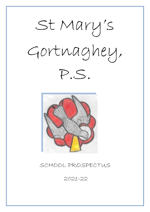



# SCHOOL PROSPECTUS

2021-22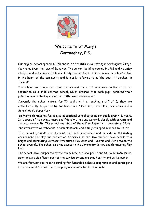

# Welcome to St Mary's Gortnaghey, P.S.

Our original school opened in 1891 and is in a beautiful rural setting in Gortnaghey Village, four miles from the town of Dungiven. The current building opened in 1983 and we enjoy a bright and well equipped school in lovely surroundings. It is a '**community school'** active in the heart of the community and is locally referred to as 'the best little school in Ireland!'

The school has a long and proud history and the staff endeavour to live up to our reputation as a child centred school, which ensures that each pupil achieves their potential in a nurturing, caring and faith based environment.

Currently the school caters for 73 pupils with a teaching staff of 5; they are enthusiastically supported by six Classroom Assistants, Caretaker, Secretary and a School Meals Supervisor.

St Mary's Gortnaghey P.S. is a co-educational school catering for pupils from 4-11 years. It is proud of its caring, happy and friendly ethos and we work closely with parents and the local community. The school has 'state of the art' equipment with computers, IPads and interactive whiteboards in each classroom and a fully equipped, modern ICT suite.

The school grounds are spacious and well maintained and provide a stimulating environment for play and recreation. Primary One and Two children have access to a bright and stimulating Outdoor Structured Play Area and Dynamic and Gym area on the school grounds. The school also has access to the Community Centre and Gortnaghey Play Park.

The school is well supported by the community, the local parish and St. Colm's GAC, Drum. Sport plays a significant part of the curriculum and ensures healthy and active pupils.

We are fortunate to receive funding for Extended Schools programmes and participate in a successful Shared Education programme with two local schools.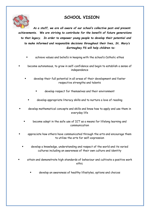## **SCHOOL VISION**



*As a staff, we are all aware of our school's collective past and present achievements. We are striving to contribute for the benefit of future generations to that legacy. In order to empower young people to develop their potential and to make informed and responsible decisions throughout their lives, St. Mary's Gortnaghey PS will help children to:*

- achieve values and beliefs in keeping with the school's Catholic ethos
- become autonomous, to grow in self-confidence and begin to establish a sense of independence
	- develop their full potential in all areas of their development and foster respective strengths and talents
		- develop respect for themselves and their environment
		- develop appropriate literacy skills and to nurture a love of reading
- develop mathematical concepts and skills and know how to apply and use them in everyday life
	- become adept in the safe use of ICT as a means for lifelong learning and communication
- appreciate how others have communicated through the arts and encourage them to utilise the arts for self-expression
	- develop a knowledge, understanding and respect of the world and its varied cultures including an awareness of their own culture and identity
- attain and demonstrate high standards of behaviour and cultivate a positive work ethic
	- develop an awareness of healthy lifestyles, options and choices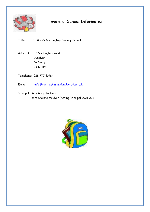

# General School Information

Title: St Mary's Gortnaghey Primary School

Address: 82 Gortnaghey Road Dungiven Co Derry BT47 4PZ

Telephone: 028 777 41984

E-mail: info@gortnagheyps.dungiven.ni.sch.uk

Principal: Mrs Mary Jackson Mrs Grainne McIlvar (Acting Principal 2021-22)

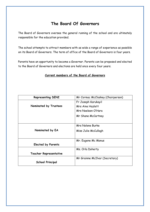## **The Board Of Governors**

The Board of Governors oversee the general running of the school and are ultimately responsible for the education provided.

The school attempts to attract members with as wide a range of experience as possible on its Board of Governors. The term of office of the Board of Governors is four years.

Parents have an opportunity to become a Governor. Parents can be proposed and elected to the Board of Governors and elections are held once every four years.

### **Current members of the Board of Governors**

| <b>Representing DENI</b>      | Mr Cormac McCloskey (Chairperson) |  |
|-------------------------------|-----------------------------------|--|
|                               | Fr Joseph Karukayil               |  |
| Nominated by Trustees         | Mrs Aine Hazlett                  |  |
|                               | Mrs Noeleen O'Hara                |  |
|                               | Mr Shane McCartney                |  |
|                               |                                   |  |
|                               | Mrs Nolene Burke                  |  |
| Nominated by EA               | Miss Julie McCullagh              |  |
|                               |                                   |  |
|                               | Mr. Eugene Mc Manus               |  |
| <b>Elected by Parents</b>     |                                   |  |
|                               | Ms. Orla Doherty                  |  |
| <b>Teacher Representative</b> |                                   |  |
|                               | Mr Grainne McIlvar (Secretary)    |  |
| <b>School Principal</b>       |                                   |  |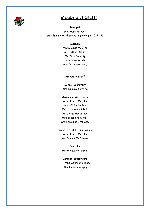

## Members of Staff:

 **Principal** Mrs Mary Jackson Mrs Grainne McIlvar (Acting Principal 2021-22)

#### **Teachers**

Mrs Grainne McIlvar Mr Nathan O'Kane Ms. Orla Doherty Mrs Ciara Walsh Mrs Catherine Craig

### **Associate Staff**

**School Secretary** Mrs Nuala Mc Intyre

#### **Classroom Assistants**

Mrs Noreen Murphy Miss Claire Carton Mrs Katrina Archibald Miss Aine McCartney Mrs Josephine O'Neill Mrs Geraldine Granleese

### **Breakfast Club Supervisors**

Mrs Noreen Murphy Mr Seamus McConway

**Caretaker** Mr Seamus McConway

**Canteen Supervisors** Mrs Marina McEleney Mrs Noreen Murphy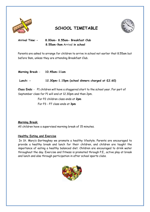

## **SCHOOL TIMETABLE**



**Arrival Time**: **- 8.00am- 8.55am- Breakfast Club 8.55am-9am** Arrival **in school**

Parents are asked to arrange for children to arrive in school not earlier that 8.55am but before 9am, unless they are attending Breakfast Club.

**Morning Break**: - **10.45am-11am** 

## **Lunch: - 12.30pm-1.15pm (school dinners charged at £2.60)**

**Class Ends**: - P1 children will have a staggered start to the school year. For part of September class for P1 will end at 12.30pm and then 2pm.

For P2 children class ends at **2pm**

For P3 - P7 class ends at **3pm** 

## **Morning Break**:

All children have a supervised morning break of 15 minutes.

## **Healthy Eating and Exercise**

In St. Mary's Gortnaghey we promote a healthy lifestyle. Parents are encouraged to provide a healthy break and lunch for their children, and children are taught the importance of eating a healthy balanced diet. Children are encouraged to drink water throughout the day. Exercise and fitness is promoted through P.E., active play at break and lunch and also through participation in after school sports clubs.

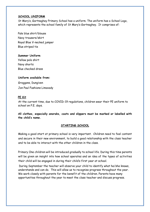## **SCHOOL UNIFORM**

St Mary's, Gortnaghey Primary School has a uniform. The uniform has a School Logo, which represents the school family of St Mary's Gortnaghey. It comprises of:

Pale blue shirt/blouse Navy trousers/skirt Royal Blue V-necked jumper Blue striped tie

### **Summer Uniform**

Yellow polo shirt Navy shorts Blue checked dress

## **Uniform available from:** Groggans, Dungiven Jon Paul Fashions Limavady

## **PE Kit**

At the current time, due to COVID-19 regulations, children wear their PE uniform to school on P.E. days.

**All clothes, especially anoraks, coats and slippers must be marked or labelled with the child's name.** 

## **STARTING SCHOOL**

Making a good start at primary school is very important. Children need to feel content and secure in their new environment, to build a good relationship with the class teacher and to be able to interact with the other children in the class.

Primary One children will be introduced gradually to school life. During this time parents will be given an insight into how school operates and an idea of the types of activities their child will be engaged in during their child's first year at school.

During September the teacher will observe your child to identify what he/she knows, understands and can do. This will allow us to recognise progress throughout the year. We work closely with parents for the benefit of the children. Parents have many opportunities throughout the year to meet the class teacher and discuss progress.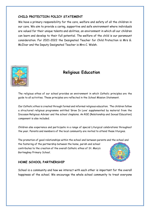## **CHILD PROTECTION POLICY STATEMENT**

We have a primary responsibility for the care, welfare and safety of all the children in our care. We aim to provide a caring, supportive and safe environment where individuals are valued for their unique talents and abilities, an environment in which all our children can learn and develop to their full potential. The welfare of the child is our paramount consideration. For 2021-2022 the Designated Teacher for Child Protection is Mrs G. McIlvar and the Deputy Designated Teacher is Mrs C. Walsh.



## **Religious Education**

The religious ethos of our school provides an environment in which Catholic principles are the guide to all activities. These principles are reflected in the School Mission Statement.

Our Catholic ethos is created through formal and informal religious education. The children follow a structured religious programme entitled 'Grow In Love' supplemented by material from the Diocesan Religious Adviser and the school chaplains. An RSE (Relationship and Sexual Education) component is also included.

Children also experience and participate in a range of special Liturgical celebrations throughout the year. Parents and members of the local community are invited to attend these liturgies.

The promotion of good relationships within the school and between parents and the school and the fostering of the partnership between the home, parish and school contributes to the creation of the overall Catholic ethos of St. Mary's Gortnaghey Primary School.



## **HOME SCHOOL PARTNERSHIP**

School is a community and how we interact with each other is important for the overall happiness of the school. We encourage the whole school community to treat everyone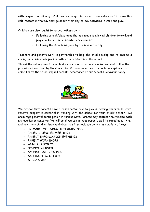with respect and dignity. Children are taught to respect themselves and to show this self-respect in the way they go about their day-to-day activities in work and play.

Children are also taught to respect others by: -

- Following school /class rules that are made to allow all children to work and play in a secure and contented environment;
- Following the directions given by those in authority;

Teachers and parents work in partnership to help the child develop and to become a caring and considerate person both within and outside the school.

Should the unlikely need for a child's suspension or expulsion arise, we shall follow the procedures laid down by the Council for Catholic Maintained Schools. Acceptance for admission to the school implies parents' acceptance of our school's Behaviour Policy.



We believe that parents have a fundamental role to play in helping children to learn. Parents' support is essential in working with the school for your child's benefit. We encourage parental participation in various ways. Parents may contact the Principal with any queries or concerns. We will do all we can to keep parents well informed about what and how their children learn and about life in school. We do this in a variety of ways:

- PRIMARY ONE INDUCTION MORNINGS
- PARENT/ TEACHER MEETINGS
- PARENT INFORMATION EVENINGS
- PARENT WORKSHOPS
- ANNUAL REPORTS
- **SCHOOL WEBSITE**
- SCHOOL FACEBOOK PAGE
- SCHOOL NEWSLETTER
- SEESAW APP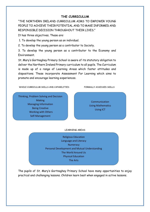## **THE CURRICULUM**

"THE NORTHERN IRELAND CURRICULUM AIMS TO EMPOWER YOUNG PEOPLE TO ACHIEVE THEIR POTENTIAL AND TO MAKE INFORMED AND RESPONSIBLE DECISION THROUGHOUT THEIR LIVES."

It has three objectives. These are:

1. To develop the young person as an individual.

2. To develop the young person as a contributor to Society.

3. To develop the young person as a contributor to the Economy and Environment.

St. Mary's Gortnaghey Primary School is aware of its statutory obligation to deliver the Northern Ireland Primary curriculum to all pupils. The Curriculum is made up of a range of Learning Areas which foster attitudes and dispositions. These incorporate Assessment For Learning which aims to promote and encourage learning experiences.

WHOLE CURRICULUM SKILLS AND CAPABILITIES FORMALLY ASSESSED SKILLS

Thinking, Problem Solving and Decision Making Managing Information Being Creative Working with Others Self-Management

Communication Using Mathematics Using ICT

#### LEARNING AREAS

Religious Education Language and Literacy **Numeracy** Personal Development and Mutual Understanding The World Around Us Physical Education The Arts

The pupils of St. Mary's Gortnaghey Primary School have many opportunities to enjoy practical and challenging lessons. Children learn best when engaged in active lessons.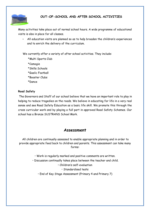

## **OUT-OF-SCHOOL AND AFTER SCHOOL ACTIVITIES**

Many activities take place out of normal school hours. A wide programme of educational visits is also in place for all classes.

• All education visits are planned so as to help broaden the children's experiences and to enrich the delivery of the curriculum.

We currently offer a variety of after school activities. They include:

 \*Multi Sports Club \*Camogie \*Skills Schools \*Gaelic Football \*Booster Clubs \*Dance

## **Road Safety**

The Governors and Staff of our school believe that we have an important role to play in helping to reduce tragedies on the roads. We believe in educating for life in a very real sense and see Road Safety Education as a basic life skill. We promote this through the cross curricular work and by playing a full part in approved Road Safety Schemes. Our school has a Bronze SUSTRANS School Mark.

## **Assessment**

All children are continually assessed to enable appropriate planning and in order to provide appropriate feed back to children and parents. This assessment can take many forms:

- Work is regularly marked and positive comments are written.
- Discussion continually takes place between the teacher and child.
	- Children's self-evaluation
		- Standardised tests
	- End of Key Stage Assessment (Primary 4 and Primary 7)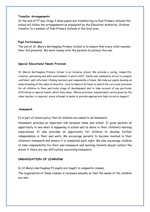#### **Transfer Arrangements**

At the end of P7 Key Stage 2 when pupils are transferring to Post Primary Schools the school will follow the arrangements as stipulated by the Education Authority. Children transfer to a number of Post Primary Schools in the local area.

### **Pupil Performance**

The aim of St. Mary's Gortnaghey Primary School is to ensure that every child reaches their full potential. We work closely with the parents to achieve this aim.

### **Special Educational Needs Provision**

St. Mary's Gortnaghey Primary School is an inclusive school. We provide a caring, respectful, creative, welcoming and safe environment in which staff, family and community strive to prepare confident, well-informed, lifelong learners and responsible citizens. We help our pupils develop an understanding of the value of diversity. Care is taken at all times to match the curricular provision for all children to their particular stage of development and to take account of any particular difficulties or special talent, which they show. Where provision, beyond what can be given by the class teacher is required, every attempt is made to provide appropriate help via extra support.

#### **Homework**

It is part of school policy that all children are asked to do homework.

Homework provides an important link between home and school. It gives parents an opportunity to see what is happening in school and to share in their children's learning experiences. It also provides an opportunity for children to develop further independence in their own work. We encourage parents to become involved in their children's homework and ensure it is completed each night. We also encourage children to take responsibility for their own homework and learning. Parents should contact the school if there are any difficulties concerning homework.

### **ORGANISATION OF LEARNING**

In St Mary's Gortnaghey PS pupils are taught in composite classes.

The organisation of these classes is reviewed annually so that the needs of the children are met.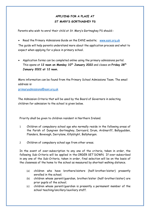## **APPLYING FOR A PLACE AT ST MARY'S GORTNAGHEY PS**

Parents who wish to enrol their child at St. Mary's Gortnaghey PS should:-

- Read the Primary Admissions Guide on the EANI website; [www.eani.org.uk](file://///2036458-FS01/TeachersFolders$/gmcilvar679/Downloads/www.eani.org.uk) The guide will help parents understand more about the application process and what to expect when applying for a place in primary school.
- Application forms can be completed online using the primary admissions portal. This opens at **12 noon on Monday 10th January 2022** and closes on **Friday 28th January 2022 at 12 noon.**

More information can be found from the Primary School Admissions Team. The email address is:

[primaryadmissions@eani.org.uk](file://///2036458-FS01/TeachersFolders$/gmcilvar679/Downloads/primaryadmissions@eani.org.uk)

The Admission Criteria that will be used by the Board of Governors in selecting children for admission to the school is given below.

Priority shall be given to children resident in Northern Ireland.

- 1 Children of compulsory school age who normally reside in the following areas of the Parish of Dungiven Gortnaghey, Derryard, Drum, Ardinariff, Ballygudden, Flanders, Bovevagh, Derrylane, Killyblight, Ballyhargan.
- 2 Children of compulsory school age from other areas.

In the event of over-subscription to any one of the criteria, taken in order, the following Sub-Criteria will be applied in the ORDER SET DOWN. If over-subscribed in any one of the Sub-Criteria, taken in order, final selection will be on the basis of the closeness of the home to the school as measured by shortest walking distance.

- (a) children who have brothers/sisters (half-brother/sister) presently enrolled in the school;
- (b) children whose parent/guardian, brother/sister (half-brother/sister) are prior pupils of the school;
- (c) children whose parent/guardian is presently a permanent member of the school teaching/ancillary/auxiliary staff.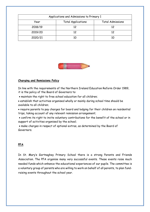| Applications and Admissions to Primary 1 |                           |                         |
|------------------------------------------|---------------------------|-------------------------|
| Year                                     | <b>Total Applications</b> | <b>Total Admissions</b> |
| 2018/19                                  | 12                        | 12                      |
| 2019/20                                  | 12                        | 12                      |
| 2020/21                                  |                           | 10                      |



### **Charging and Remissions Policy**

In line with the requirements of the Northern Ireland Education Reform Order 1989, it is the policy of the Board of Governors to:

- maintain the right to free school education for all children;
- establish that activities organised wholly or mainly during school time should be available to all children;
- require parents to pay charges for board and lodging for their children on residential trips, taking account of any relevant remission arrangement;
- confirm its right to invite voluntary contributions for the benefit of the school or in support of activities organised by the school;
- make charges in respect of optional extras, as determined by the Board of Governors.

## **PFA**

In St. Mary's Gortnaghey Primary School there is a strong Parents and Friends Association. The PFA organise many very successful events. These events raise much needed funds which enhance the educational experiences of our pupils. The committee is a voluntary group of parents who are willing to work on behalf of all parents, to plan fundraising events throughout the school year.